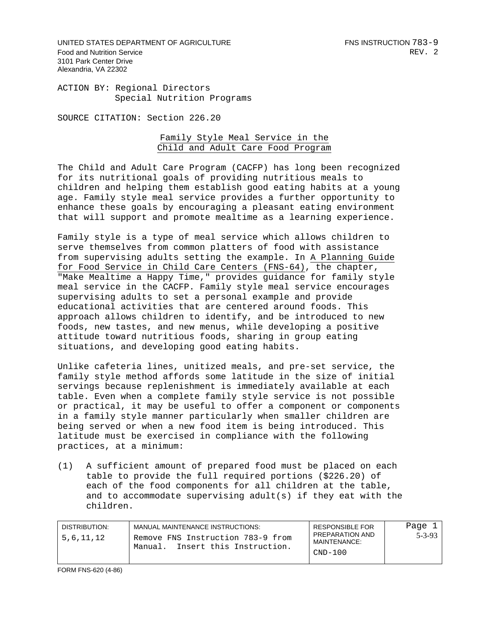UNITED STATES DEPARTMENT OF AGRICULTURE FOR A SERIOUS STATES AND RESIDENT TO A SAMPLE TO A SAMPLE TO A SAMPLE Food and Nutrition Service **REV.** 2 3101 Park Center Drive Alexandria, VA 22302

ACTION BY: Regional Directors Special Nutrition Programs

SOURCE CITATION: Section 226.20

## Family Style Meal Service in the Child and Adult Care Food Program

The Child and Adult Care Program (CACFP) has long been recognized for its nutritional goals of providing nutritious meals to children and helping them establish good eating habits at a young age. Family style meal service provides a further opportunity to enhance these goals by encouraging a pleasant eating environment that will support and promote mealtime as a learning experience.

Family style is a type of meal service which allows children to serve themselves from common platters of food with assistance from supervising adults setting the example. In A Planning Guide for Food Service in Child Care Centers (FNS-64), the chapter, "Make Mealtime a Happy Time," provides guidance for family style meal service in the CACFP. Family style meal service encourages supervising adults to set a personal example and provide educational activities that are centered around foods. This approach allows children to identify, and be introduced to new foods, new tastes, and new menus, while developing a positive attitude toward nutritious foods, sharing in group eating situations, and developing good eating habits.

Unlike cafeteria lines, unitized meals, and pre-set service, the family style method affords some latitude in the size of initial servings because replenishment is immediately available at each table. Even when a complete family style service is not possible or practical, it may be useful to offer a component or components in a family style manner particularly when smaller children are being served or when a new food item is being introduced. This latitude must be exercised in compliance with the following practices, at a minimum:

(1) A sufficient amount of prepared food must be placed on each table to provide the full required portions (\$226.20) of each of the food components for all children at the table, and to accommodate supervising adult(s) if they eat with the children.

| DISTRIBUTION:<br>5,6,11,12 | MANUAL MAINTENANCE INSTRUCTIONS:<br>Remove FNS Instruction 783-9 from<br>Insert this Instruction.<br>Manual. | <b>RESPONSIBLE FOR</b><br>PREPARATION AND<br>MAINTENANCE:<br>CND-100 | Page 1  <br>$5 - 3 - 93$ |
|----------------------------|--------------------------------------------------------------------------------------------------------------|----------------------------------------------------------------------|--------------------------|
|----------------------------|--------------------------------------------------------------------------------------------------------------|----------------------------------------------------------------------|--------------------------|

FORM FNS-620 (4-86)